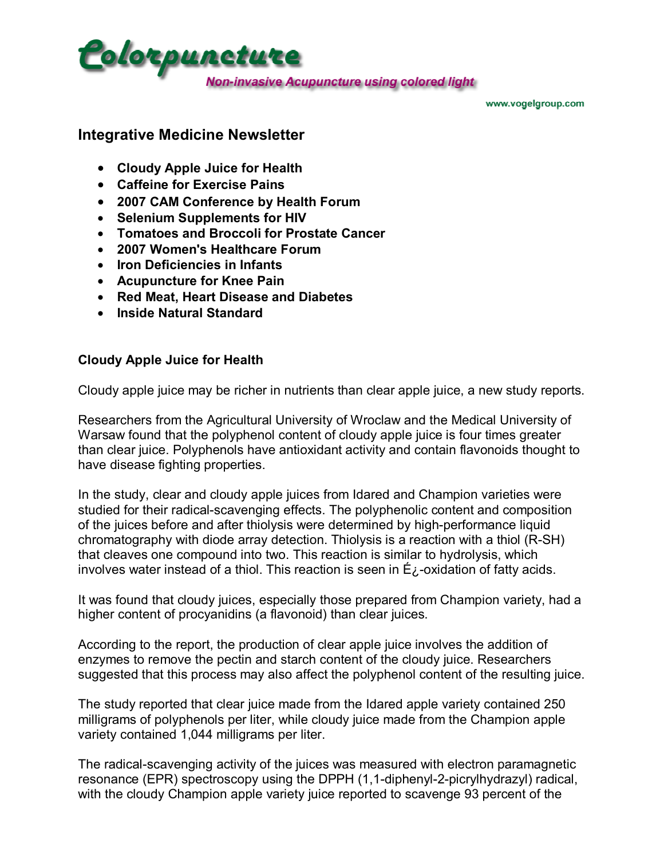

www.vogelgroup.com

#### **Integrative Medicine Newsletter**

- **Cloudy Apple Juice for Health**
- **Caffeine for Exercise Pains**
- **2007 CAM Conference by Health Forum**
- **Selenium Supplements for HIV**
- **Tomatoes and Broccoli for Prostate Cancer**
- **2007 Women's Healthcare Forum**
- **Iron Deficiencies in Infants**
- **Acupuncture for Knee Pain**
- **Red Meat, Heart Disease and Diabetes**
- **Inside Natural Standard**

#### **Cloudy Apple Juice for Health**

Cloudy apple juice may be richer in nutrients than clear apple juice, a new study reports.

Researchers from the Agricultural University of Wroclaw and the Medical University of Warsaw found that the polyphenol content of cloudy apple juice is four times greater than clear juice. Polyphenols have antioxidant activity and contain flavonoids thought to have disease fighting properties.

In the study, clear and cloudy apple juices from Idared and Champion varieties were studied for their radical-scavenging effects. The polyphenolic content and composition of the juices before and after thiolysis were determined by high-performance liquid chromatography with diode array detection. Thiolysis is a reaction with a thiol (R-SH) that cleaves one compound into two. This reaction is similar to hydrolysis, which involves water instead of a thiol. This reaction is seen in  $E_{\lambda}$ -oxidation of fatty acids.

It was found that cloudy juices, especially those prepared from Champion variety, had a higher content of procyanidins (a flavonoid) than clear juices.

According to the report, the production of clear apple juice involves the addition of enzymes to remove the pectin and starch content of the cloudy juice. Researchers suggested that this process may also affect the polyphenol content of the resulting juice.

The study reported that clear juice made from the Idared apple variety contained 250 milligrams of polyphenols per liter, while cloudy juice made from the Champion apple variety contained 1,044 milligrams per liter.

The radical-scavenging activity of the juices was measured with electron paramagnetic resonance (EPR) spectroscopy using the DPPH (1,1-diphenyl-2-picrylhydrazyl) radical, with the cloudy Champion apple variety juice reported to scavenge 93 percent of the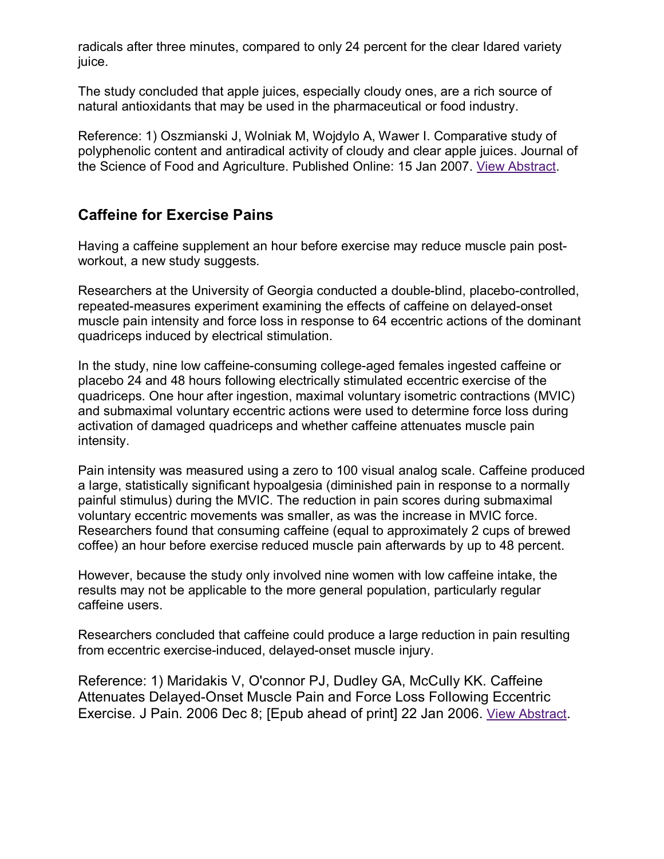radicals after three minutes, compared to only 24 percent for the clear Idared variety juice.

The study concluded that apple juices, especially cloudy ones, are a rich source of natural antioxidants that may be used in the pharmaceutical or food industry.

Reference: 1) Oszmianski J, Wolniak M, Wojdylo A, Wawer I. Comparative study of polyphenolic content and antiradical activity of cloudy and clear apple juices. Journal of the Science of Food and Agriculture. Published Online: 15 Jan 2007. View Abstract.

# **Caffeine for Exercise Pains**

Having a caffeine supplement an hour before exercise may reduce muscle pain postworkout, a new study suggests.

Researchers at the University of Georgia conducted a double-blind, placebo-controlled, repeated-measures experiment examining the effects of caffeine on delayed-onset muscle pain intensity and force loss in response to 64 eccentric actions of the dominant quadriceps induced by electrical stimulation.

In the study, nine low caffeine-consuming college-aged females ingested caffeine or placebo 24 and 48 hours following electrically stimulated eccentric exercise of the quadriceps. One hour after ingestion, maximal voluntary isometric contractions (MVIC) and submaximal voluntary eccentric actions were used to determine force loss during activation of damaged quadriceps and whether caffeine attenuates muscle pain intensity.

Pain intensity was measured using a zero to 100 visual analog scale. Caffeine produced a large, statistically significant hypoalgesia (diminished pain in response to a normally painful stimulus) during the MVIC. The reduction in pain scores during submaximal voluntary eccentric movements was smaller, as was the increase in MVIC force. Researchers found that consuming caffeine (equal to approximately 2 cups of brewed coffee) an hour before exercise reduced muscle pain afterwards by up to 48 percent.

However, because the study only involved nine women with low caffeine intake, the results may not be applicable to the more general population, particularly regular caffeine users.

Researchers concluded that caffeine could produce a large reduction in pain resulting from eccentric exercise-induced, delayed-onset muscle injury.

Reference: 1) Maridakis V, O'connor PJ, Dudley GA, McCully KK. Caffeine Attenuates Delayed-Onset Muscle Pain and Force Loss Following Eccentric Exercise. J Pain. 2006 Dec 8; [Epub ahead of print] 22 Jan 2006. View Abstract.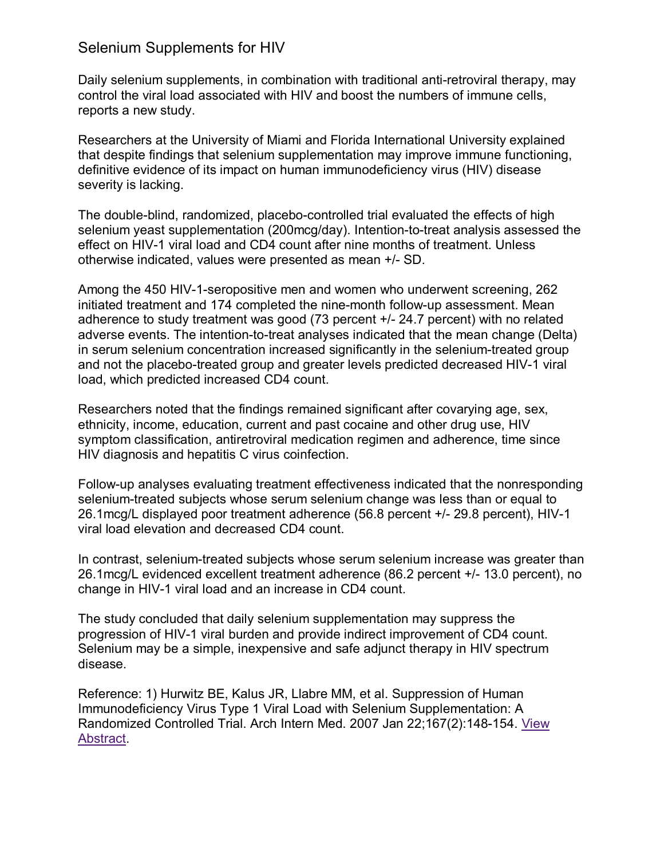#### Selenium Supplements for HIV

Daily selenium supplements, in combination with traditional anti-retroviral therapy, may control the viral load associated with HIV and boost the numbers of immune cells, reports a new study.

Researchers at the University of Miami and Florida International University explained that despite findings that selenium supplementation may improve immune functioning, definitive evidence of its impact on human immunodeficiency virus (HIV) disease severity is lacking.

The double-blind, randomized, placebo-controlled trial evaluated the effects of high selenium yeast supplementation (200mcg/day). Intention-to-treat analysis assessed the effect on HIV-1 viral load and CD4 count after nine months of treatment. Unless otherwise indicated, values were presented as mean +/- SD.

Among the 450 HIV-1-seropositive men and women who underwent screening, 262 initiated treatment and 174 completed the nine-month follow-up assessment. Mean adherence to study treatment was good (73 percent +/- 24.7 percent) with no related adverse events. The intention-to-treat analyses indicated that the mean change (Delta) in serum selenium concentration increased significantly in the selenium-treated group and not the placebo-treated group and greater levels predicted decreased HIV-1 viral load, which predicted increased CD4 count.

Researchers noted that the findings remained significant after covarying age, sex, ethnicity, income, education, current and past cocaine and other drug use, HIV symptom classification, antiretroviral medication regimen and adherence, time since HIV diagnosis and hepatitis C virus coinfection.

Follow-up analyses evaluating treatment effectiveness indicated that the nonresponding selenium-treated subjects whose serum selenium change was less than or equal to 26.1mcg/L displayed poor treatment adherence (56.8 percent +/- 29.8 percent), HIV-1 viral load elevation and decreased CD4 count.

In contrast, selenium-treated subjects whose serum selenium increase was greater than 26.1mcg/L evidenced excellent treatment adherence (86.2 percent +/- 13.0 percent), no change in HIV-1 viral load and an increase in CD4 count.

The study concluded that daily selenium supplementation may suppress the progression of HIV-1 viral burden and provide indirect improvement of CD4 count. Selenium may be a simple, inexpensive and safe adjunct therapy in HIV spectrum disease.

Reference: 1) Hurwitz BE, Kalus JR, Llabre MM, et al. Suppression of Human Immunodeficiency Virus Type 1 Viral Load with Selenium Supplementation: A Randomized Controlled Trial. Arch Intern Med. 2007 Jan 22;167(2):148-154. View Abstract.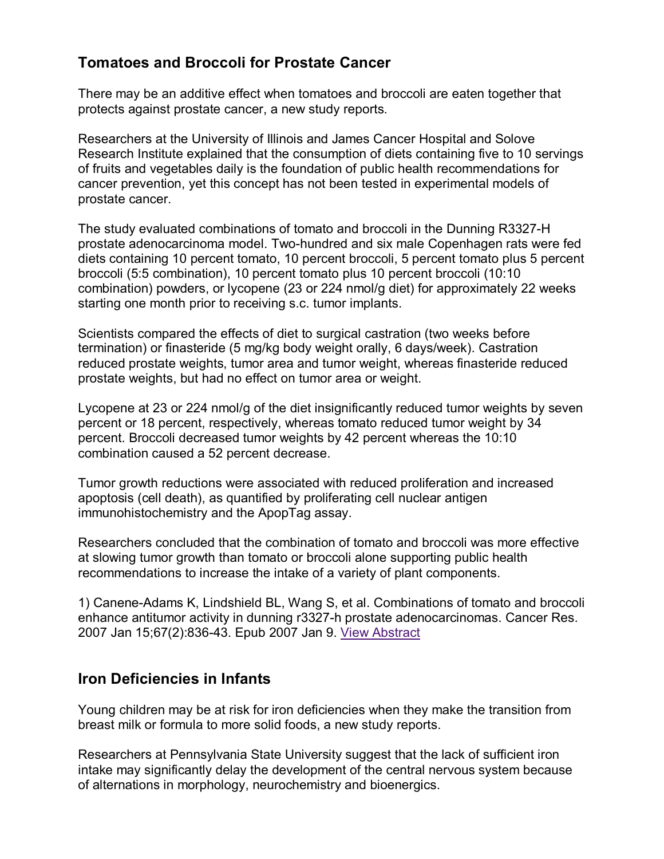## **Tomatoes and Broccoli for Prostate Cancer**

There may be an additive effect when tomatoes and broccoli are eaten together that protects against prostate cancer, a new study reports.

Researchers at the University of Illinois and James Cancer Hospital and Solove Research Institute explained that the consumption of diets containing five to 10 servings of fruits and vegetables daily is the foundation of public health recommendations for cancer prevention, yet this concept has not been tested in experimental models of prostate cancer.

The study evaluated combinations of tomato and broccoli in the Dunning R3327-H prostate adenocarcinoma model. Two-hundred and six male Copenhagen rats were fed diets containing 10 percent tomato, 10 percent broccoli, 5 percent tomato plus 5 percent broccoli (5:5 combination), 10 percent tomato plus 10 percent broccoli (10:10 combination) powders, or lycopene (23 or 224 nmol/g diet) for approximately 22 weeks starting one month prior to receiving s.c. tumor implants.

Scientists compared the effects of diet to surgical castration (two weeks before termination) or finasteride (5 mg/kg body weight orally, 6 days/week). Castration reduced prostate weights, tumor area and tumor weight, whereas finasteride reduced prostate weights, but had no effect on tumor area or weight.

Lycopene at 23 or 224 nmol/g of the diet insignificantly reduced tumor weights by seven percent or 18 percent, respectively, whereas tomato reduced tumor weight by 34 percent. Broccoli decreased tumor weights by 42 percent whereas the 10:10 combination caused a 52 percent decrease.

Tumor growth reductions were associated with reduced proliferation and increased apoptosis (cell death), as quantified by proliferating cell nuclear antigen immunohistochemistry and the ApopTag assay.

Researchers concluded that the combination of tomato and broccoli was more effective at slowing tumor growth than tomato or broccoli alone supporting public health recommendations to increase the intake of a variety of plant components.

1) Canene-Adams K, Lindshield BL, Wang S, et al. Combinations of tomato and broccoli enhance antitumor activity in dunning r3327-h prostate adenocarcinomas. Cancer Res. 2007 Jan 15;67(2):836-43. Epub 2007 Jan 9. View Abstract

#### **Iron Deficiencies in Infants**

Young children may be at risk for iron deficiencies when they make the transition from breast milk or formula to more solid foods, a new study reports.

Researchers at Pennsylvania State University suggest that the lack of sufficient iron intake may significantly delay the development of the central nervous system because of alternations in morphology, neurochemistry and bioenergics.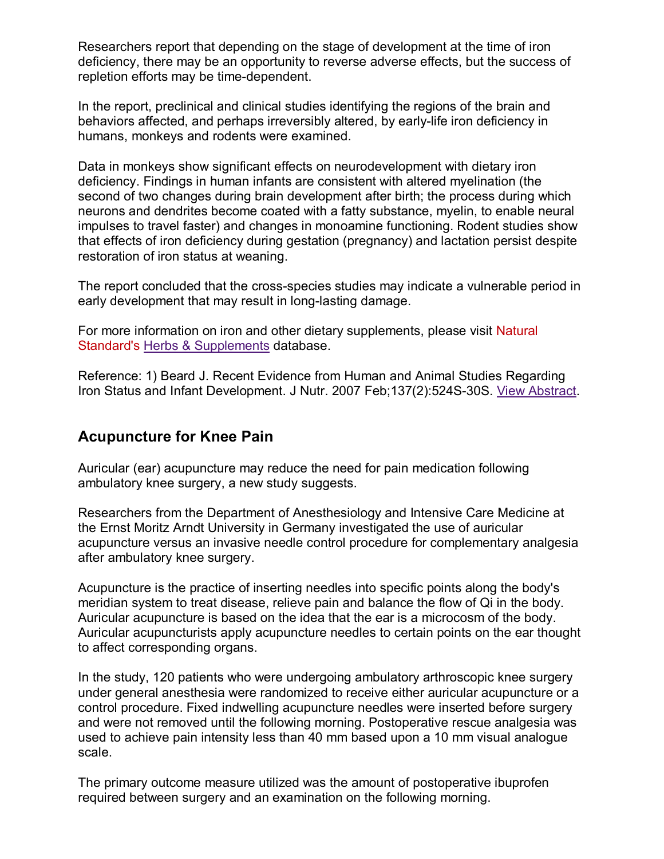Researchers report that depending on the stage of development at the time of iron deficiency, there may be an opportunity to reverse adverse effects, but the success of repletion efforts may be time-dependent.

In the report, preclinical and clinical studies identifying the regions of the brain and behaviors affected, and perhaps irreversibly altered, by early-life iron deficiency in humans, monkeys and rodents were examined.

Data in monkeys show significant effects on neurodevelopment with dietary iron deficiency. Findings in human infants are consistent with altered myelination (the second of two changes during brain development after birth; the process during which neurons and dendrites become coated with a fatty substance, myelin, to enable neural impulses to travel faster) and changes in monoamine functioning. Rodent studies show that effects of iron deficiency during gestation (pregnancy) and lactation persist despite restoration of iron status at weaning.

The report concluded that the cross-species studies may indicate a vulnerable period in early development that may result in long-lasting damage.

For more information on iron and other dietary supplements, please visit Natural Standard's Herbs & Supplements database.

Reference: 1) Beard J. Recent Evidence from Human and Animal Studies Regarding Iron Status and Infant Development. J Nutr. 2007 Feb;137(2):524S-30S. View Abstract.

## **Acupuncture for Knee Pain**

Auricular (ear) acupuncture may reduce the need for pain medication following ambulatory knee surgery, a new study suggests.

Researchers from the Department of Anesthesiology and Intensive Care Medicine at the Ernst Moritz Arndt University in Germany investigated the use of auricular acupuncture versus an invasive needle control procedure for complementary analgesia after ambulatory knee surgery.

Acupuncture is the practice of inserting needles into specific points along the body's meridian system to treat disease, relieve pain and balance the flow of Qi in the body. Auricular acupuncture is based on the idea that the ear is a microcosm of the body. Auricular acupuncturists apply acupuncture needles to certain points on the ear thought to affect corresponding organs.

In the study, 120 patients who were undergoing ambulatory arthroscopic knee surgery under general anesthesia were randomized to receive either auricular acupuncture or a control procedure. Fixed indwelling acupuncture needles were inserted before surgery and were not removed until the following morning. Postoperative rescue analgesia was used to achieve pain intensity less than 40 mm based upon a 10 mm visual analogue scale.

The primary outcome measure utilized was the amount of postoperative ibuprofen required between surgery and an examination on the following morning.